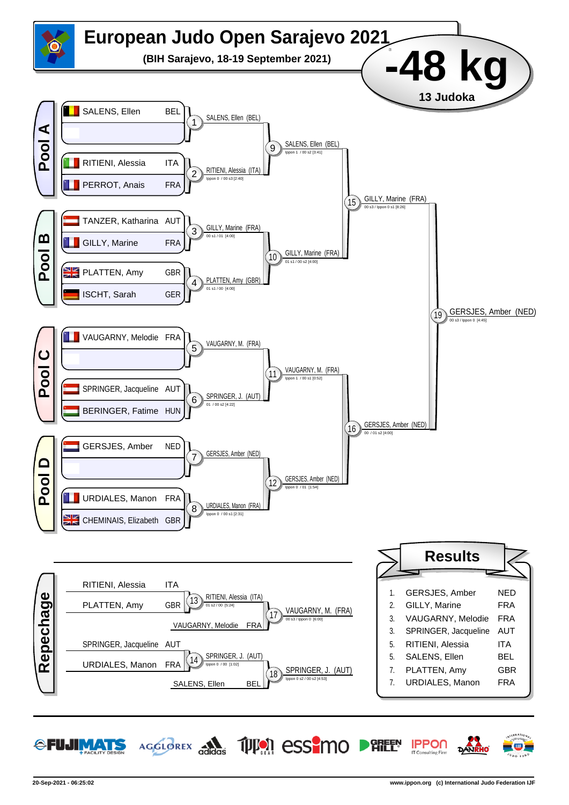

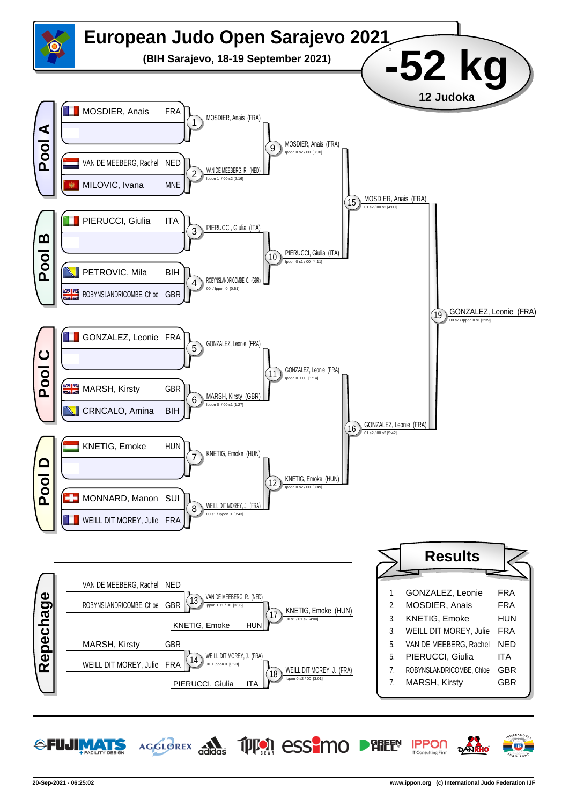

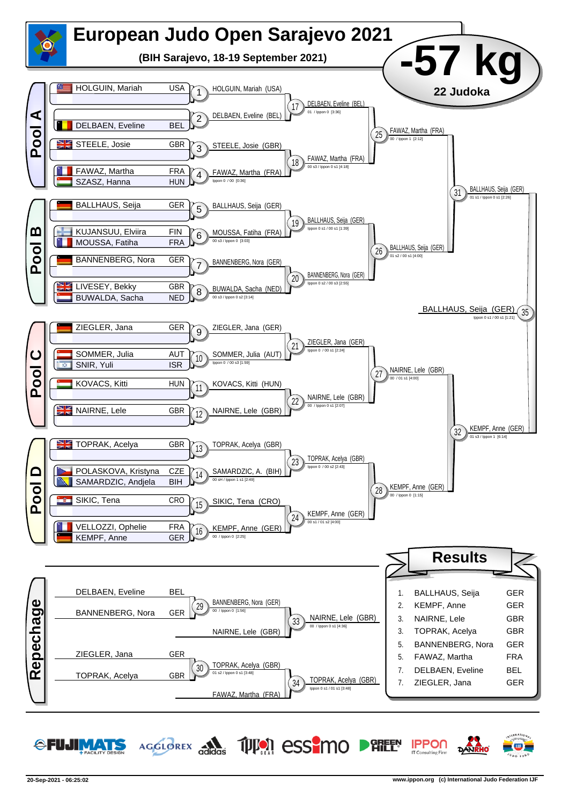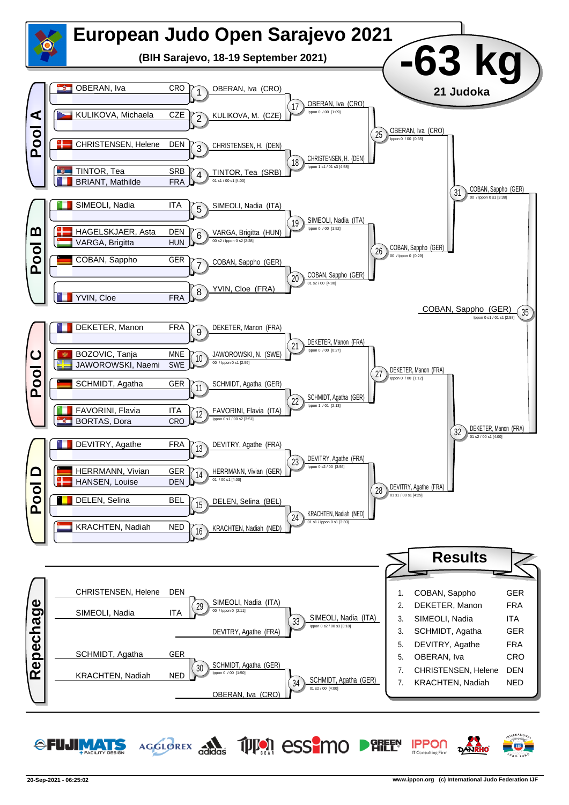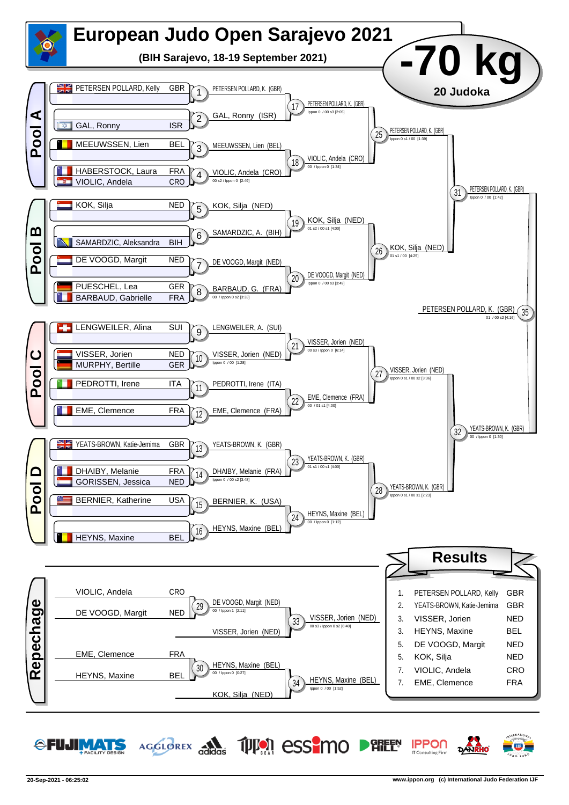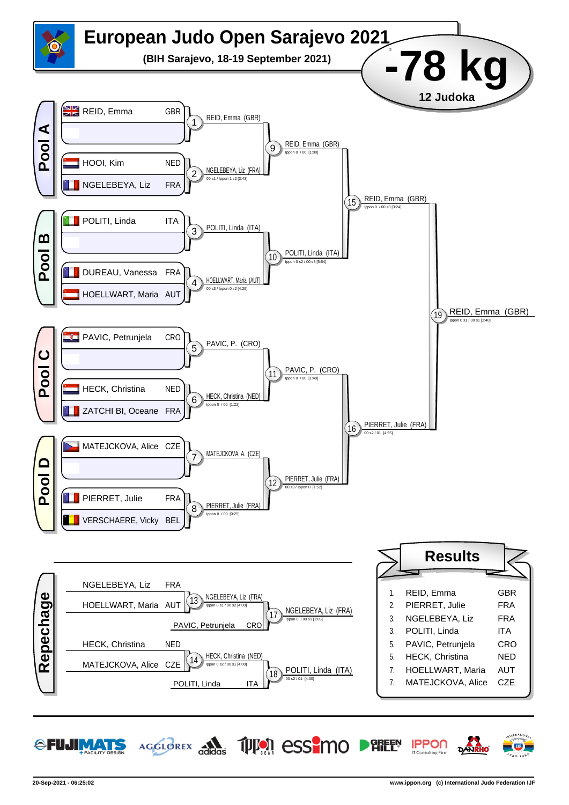